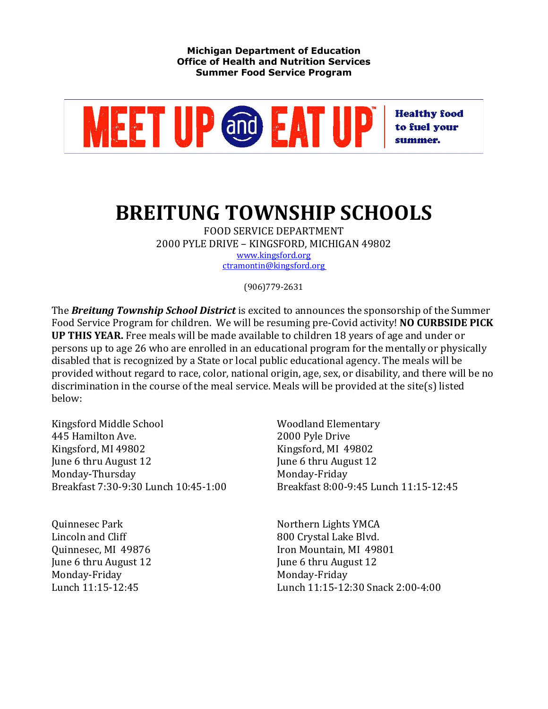

## **BREITUNG TOWNSHIP SCHOOLS**

FOOD SERVICE DEPARTMENT 2000 PYLE DRIVE - KINGSFORD, MICHIGAN 49802 www.kingsford.org

ctramontin@kingsford.org

(906)779-2631

The **Breitung Township School District** is excited to announces the sponsorship of the Summer Food Service Program for children. We will be resuming pre-Covid activity! **NO CURBSIDE PICK UP THIS YEAR.** Free meals will be made available to children 18 years of age and under or persons up to age 26 who are enrolled in an educational program for the mentally or physically disabled that is recognized by a State or local public educational agency. The meals will be provided without regard to race, color, national origin, age, sex, or disability, and there will be no discrimination in the course of the meal service. Meals will be provided at the site(s) listed below:

Kingsford Middle School Woodland Elementary 445 Hamilton Ave. 2000 Pyle Drive Kingsford, MI 49802 Kingsford, MI 49802 June 6 thru August 12 **June 6** thru August 12 Monday-Thursday Monday-Friday

Lincoln and Cliff and Cliff and Cliff and Cliff and Cliff and Cliff and Allen Blvd. June 6 thru August 12 **June 6** thru August 12 Monday-Friday Monday-Friday

Breakfast 7:30-9:30 Lunch 10:45-1:00 Breakfast 8:00-9:45 Lunch 11:15-12:45

Quinnesec Park Northern Lights YMCA Quinnesec, MI 49876 **Iron** Mountain, MI 49801 Lunch 11:15-12:45 Lunch 11:15-12:30 Snack 2:00-4:00